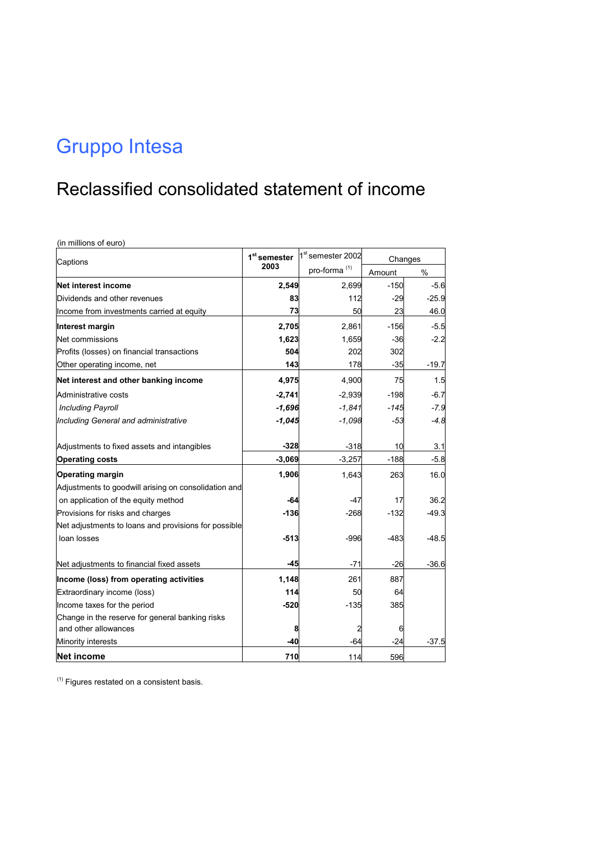#### Reclassified consolidated statement of income

(in millions of euro)

| Captions                                             | 1 <sup>st</sup> semester | 1 <sup>st</sup> semester 2002 | Changes |         |
|------------------------------------------------------|--------------------------|-------------------------------|---------|---------|
|                                                      | 2003                     | pro-forma <sup>(1)</sup>      | Amount  | $\%$    |
| Net interest income                                  | 2,549                    | 2,699                         | $-150$  | $-5.6$  |
| Dividends and other revenues                         | 83                       | 112                           | $-29$   | $-25.9$ |
| Income from investments carried at equity            | 73                       | 50                            | 23      | 46.0    |
| Interest margin                                      | 2,705                    | 2,861                         | $-156$  | $-5.5$  |
| Net commissions                                      | 1,623                    | 1,659                         | $-36$   | $-2.2$  |
| Profits (losses) on financial transactions           | 504                      | 202                           | 302     |         |
| Other operating income, net                          | 143                      | 178                           | $-35$   | $-19.7$ |
| Net interest and other banking income                | 4,975                    | 4,900                         | 75      | 1.5     |
| Administrative costs                                 | $-2,741$                 | $-2,939$                      | $-198$  | $-6.7$  |
| <b>Including Payroll</b>                             | $-1,696$                 | $-1,841$                      | $-145$  | $-7.9$  |
| Including General and administrative                 | $-1,045$                 | $-1,098$                      | $-53$   | $-4.8$  |
| Adjustments to fixed assets and intangibles          | $-328$                   | $-318$                        | 10      | 3.1     |
| <b>Operating costs</b>                               | $-3,069$                 | $-3,257$                      | $-188$  | $-5.8$  |
| <b>Operating margin</b>                              | 1,906                    | 1,643                         | 263     | 16.0    |
| Adjustments to goodwill arising on consolidation and |                          |                               |         |         |
| on application of the equity method                  | -64                      | $-47$                         | 17      | 36.2    |
| Provisions for risks and charges                     | $-136$                   | $-268$                        | $-132$  | $-49.3$ |
| Net adjustments to loans and provisions for possible |                          |                               |         |         |
| loan losses                                          | $-513$                   | $-996$                        | $-483$  | $-48.5$ |
| Net adjustments to financial fixed assets            | -45                      | $-71$                         | $-26$   | $-36.6$ |
| Income (loss) from operating activities              | 1,148                    | 261                           | 887     |         |
| Extraordinary income (loss)                          | 114                      | 50                            | 64      |         |
| Income taxes for the period                          | $-520$                   | $-135$                        | 385     |         |
| Change in the reserve for general banking risks      |                          |                               |         |         |
| and other allowances                                 | 8                        |                               | 6       |         |
| Minority interests                                   | $-40$                    | $-64$                         | $-24$   | $-37.5$ |
| <b>Net income</b>                                    | 710                      | 114                           | 596     |         |

 $(1)$  Figures restated on a consistent basis.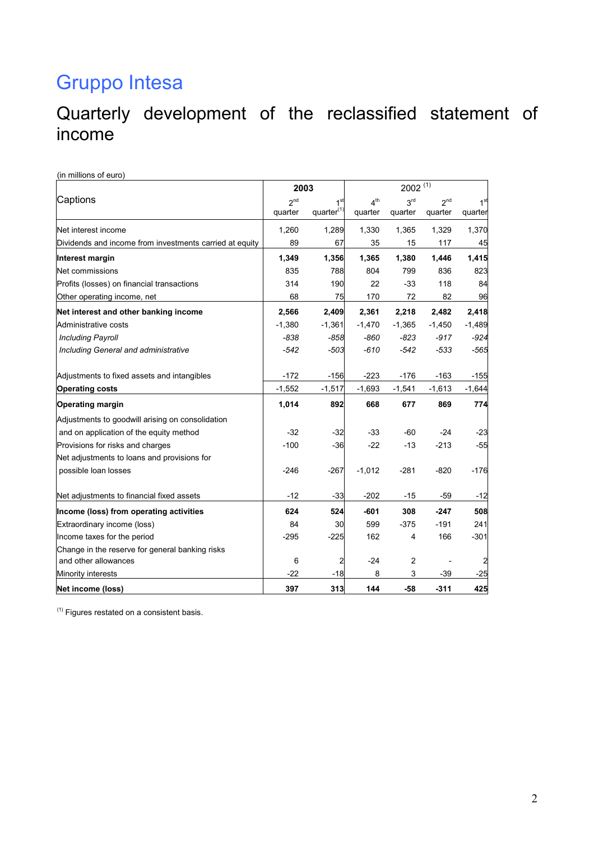#### Quarterly development of the reclassified statement of income

|  | (in millions of euro) |  |
|--|-----------------------|--|
|  |                       |  |

|                                                         | 2003            |                        | $2002^{(1)}$    |                 |                 |                 |  |  |
|---------------------------------------------------------|-----------------|------------------------|-----------------|-----------------|-----------------|-----------------|--|--|
| Captions                                                | 2 <sub>nd</sub> | 1 <sup>st</sup>        | 4 <sup>th</sup> | 3 <sup>rd</sup> | 2 <sub>nd</sub> | 1 <sup>st</sup> |  |  |
|                                                         | quarter         | quarter <sup>(1)</sup> | quarter         | quarter         | quarter         | quarter         |  |  |
| Net interest income                                     | 1.260           | 1,289                  | 1,330           | 1,365           | 1,329           | 1,370           |  |  |
| Dividends and income from investments carried at equity | 89              | 67                     | 35              | 15              | 117             | 45              |  |  |
| Interest margin                                         | 1,349           | 1,356                  | 1,365           | 1,380           | 1,446           | 1,415           |  |  |
| Net commissions                                         | 835             | 788                    | 804             | 799             | 836             | 823             |  |  |
| Profits (losses) on financial transactions              | 314             | 190                    | 22              | $-33$           | 118             | 84              |  |  |
| Other operating income, net                             | 68              | 75                     | 170             | 72              | 82              | 96              |  |  |
| Net interest and other banking income                   | 2,566           | 2,409                  | 2,361           | 2,218           | 2,482           | 2,418           |  |  |
| Administrative costs                                    | $-1,380$        | $-1,361$               | $-1,470$        | $-1,365$        | $-1,450$        | $-1,489$        |  |  |
| <b>Including Payroll</b>                                | $-838$          | $-858$                 | $-860$          | $-823$          | $-917$          | $-924$          |  |  |
| Including General and administrative                    | $-542$          | -503                   | $-610$          | -542            | -533            | -565            |  |  |
| Adjustments to fixed assets and intangibles             | $-172$          | $-156$                 | $-223$          | $-176$          | $-163$          | $-155$          |  |  |
| <b>Operating costs</b>                                  | $-1,552$        | $-1,517$               | $-1,693$        | $-1,541$        | $-1,613$        | $-1,644$        |  |  |
| <b>Operating margin</b>                                 | 1,014           | 892                    | 668             | 677             | 869             | 774             |  |  |
| Adjustments to goodwill arising on consolidation        |                 |                        |                 |                 |                 |                 |  |  |
| and on application of the equity method                 | $-32$           | $-32$                  | -33             | -60             | $-24$           | $-23$           |  |  |
| Provisions for risks and charges                        | $-100$          | $-36$                  | $-22$           | $-13$           | $-213$          | $-55$           |  |  |
| Net adjustments to loans and provisions for             |                 |                        |                 |                 |                 |                 |  |  |
| possible loan losses                                    | $-246$          | $-267$                 | $-1,012$        | $-281$          | $-820$          | $-176$          |  |  |
| Net adjustments to financial fixed assets               | $-12$           | $-33$                  | $-202$          | -15             | -59             | $-12$           |  |  |
| Income (loss) from operating activities                 | 624             | 524                    | $-601$          | 308             | $-247$          | 508             |  |  |
| Extraordinary income (loss)                             | 84              | 30                     | 599             | $-375$          | $-191$          | 241             |  |  |
| Income taxes for the period                             | $-295$          | $-225$                 | 162             | 4               | 166             | $-301$          |  |  |
| Change in the reserve for general banking risks         |                 |                        |                 |                 |                 |                 |  |  |
| and other allowances                                    | 6               | 2                      | $-24$           | 2               |                 |                 |  |  |
| Minority interests                                      | $-22$           | $-18$                  | 8               | 3               | $-39$           | $-25$           |  |  |
| Net income (loss)                                       | 397             | 313                    | 144             | -58             | $-311$          | 425             |  |  |

 $<sup>(1)</sup>$  Figures restated on a consistent basis.</sup>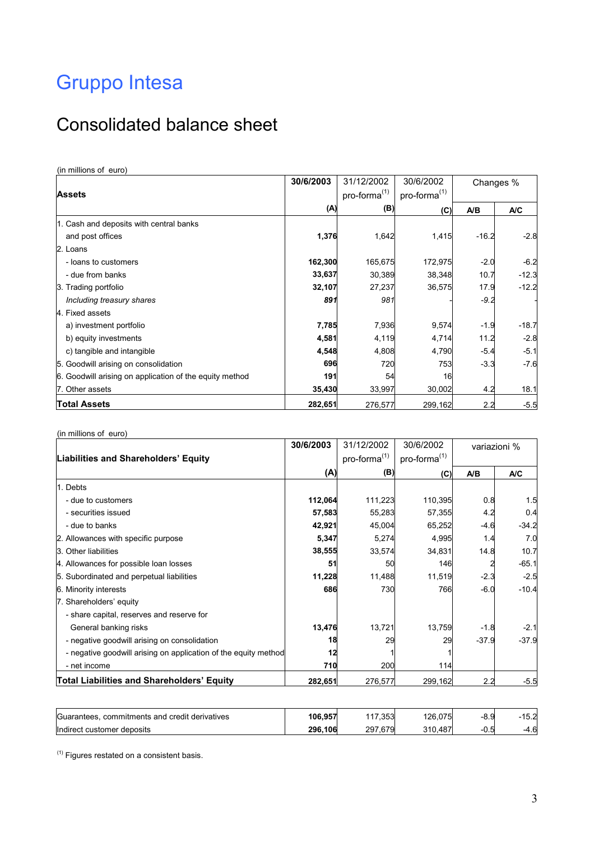## Consolidated balance sheet

(in millions of euro)

|                                                         | 30/6/2003 | 31/12/2002               | 30/6/2002                | Changes % |         |
|---------------------------------------------------------|-----------|--------------------------|--------------------------|-----------|---------|
| <b>Assets</b>                                           |           | pro-forma <sup>(1)</sup> | pro-forma <sup>(1)</sup> |           |         |
|                                                         | (A)       | (B)                      | (C)                      | A/B       | A/C     |
| 1. Cash and deposits with central banks                 |           |                          |                          |           |         |
| and post offices                                        | 1,376     | 1,642                    | 1,415                    | $-16.2$   | $-2.8$  |
| 2. Loans                                                |           |                          |                          |           |         |
| - loans to customers                                    | 162,300   | 165,675                  | 172,975                  | $-2.0$    | $-6.2$  |
| - due from banks                                        | 33,637    | 30,389                   | 38,348                   | 10.7      | $-12.3$ |
| 3. Trading portfolio                                    | 32,107    | 27,237                   | 36,575                   | 17.9      | $-12.2$ |
| Including treasury shares                               | 891       | 981                      |                          | $-9.2$    |         |
| 4. Fixed assets                                         |           |                          |                          |           |         |
| a) investment portfolio                                 | 7,785     | 7,936                    | 9,574                    | $-1.9$    | $-18.7$ |
| b) equity investments                                   | 4,581     | 4,119                    | 4,714                    | 11.2      | $-2.8$  |
| c) tangible and intangible                              | 4,548     | 4,808                    | 4,790                    | $-5.4$    | $-5.1$  |
| 5. Goodwill arising on consolidation                    | 696       | 720                      | 753                      | $-3.3$    | $-7.6$  |
| 6. Goodwill arising on application of the equity method | 191       | 54                       | 16                       |           |         |
| 7. Other assets                                         | 35,430    | 33,997                   | 30,002                   | 4.2       | 18.1    |
| <b>Total Assets</b>                                     | 282,651   | 276,577                  | 299,162                  | 2.2       | $-5.5$  |

(in millions of euro)

|                                                                 | 30/6/2003 | 31/12/2002               | 30/6/2002                |         | variazioni % |  |
|-----------------------------------------------------------------|-----------|--------------------------|--------------------------|---------|--------------|--|
| Liabilities and Shareholders' Equity                            |           | pro-forma <sup>(1)</sup> | pro-forma <sup>(1)</sup> |         |              |  |
|                                                                 | (A)       | (B)                      | (C)                      | A/B     | A/C          |  |
| 1. Debts                                                        |           |                          |                          |         |              |  |
| - due to customers                                              | 112,064   | 111,223                  | 110,395                  | 0.8     | 1.5          |  |
| - securities issued                                             | 57,583    | 55,283                   | 57,355                   | 4.2     | 0.4          |  |
| - due to banks                                                  | 42,921    | 45,004                   | 65,252                   | $-4.6$  | $-34.2$      |  |
| 2. Allowances with specific purpose                             | 5,347     | 5,274                    | 4,995                    | 1.4     | 7.0          |  |
| 3. Other liabilities                                            | 38,555    | 33,574                   | 34,831                   | 14.8    | 10.7         |  |
| 4. Allowances for possible loan losses                          | 51        | 50                       | 146                      |         | $-65.1$      |  |
| 5. Subordinated and perpetual liabilities                       | 11,228    | 11,488                   | 11,519                   | $-2.3$  | $-2.5$       |  |
| 6. Minority interests                                           | 686       | 730                      | 766                      | $-6.0$  | $-10.4$      |  |
| 7. Shareholders' equity                                         |           |                          |                          |         |              |  |
| - share capital, reserves and reserve for                       |           |                          |                          |         |              |  |
| General banking risks                                           | 13,476    | 13,721                   | 13,759                   | $-1.8$  | $-2.1$       |  |
| - negative goodwill arising on consolidation                    | 18        | 29                       | 29                       | $-37.9$ | $-37.9$      |  |
| - negative goodwill arising on application of the equity method | 12        |                          |                          |         |              |  |
| - net income                                                    | 710       | 200                      | 114                      |         |              |  |
| <b>Total Liabilities and Shareholders' Equity</b>               | 282,651   | 276,577                  | 299,162                  | 2.2     | $-5.5$       |  |

| Guarantees.<br>commitments and credit derivatives | 106,957 | .353<br>$\overline{A}$ | 126.075               | $-8.9$ | 15.2   |
|---------------------------------------------------|---------|------------------------|-----------------------|--------|--------|
| lindirect customer<br>∵deposits                   | 296.106 | .679<br>297            | 240<br>.487<br>.ט ו ט | .U. O  | $-4.6$ |

 $<sup>(1)</sup>$  Figures restated on a consistent basis.</sup>